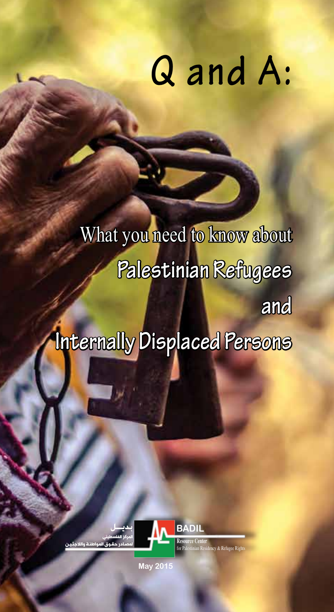# **Q Q and A:**

**and Internal you have to know and** What you need to know about **Palestinian Refugees and Internally Displaced Persons**

What you need to know about

**Palestinian Refugees**



**المركز الفلسطيني لمصـادر حقـوق المواطنـة والالجئـيـن المركز الفلسطيني لمصـادر حقـوق المواطنـة والالجئـيـن**

May 2015 **May 2015**

**بديــل**

**بديــل**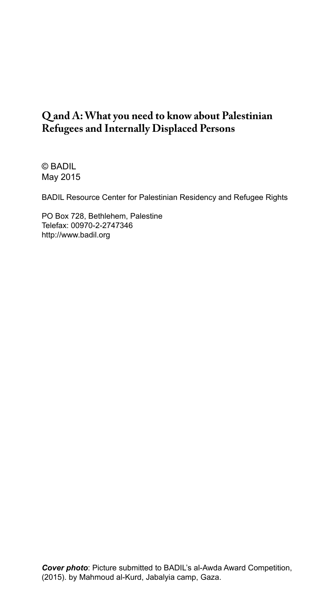#### **Q and A: What you need to know about Palestinian Refugees and Internally Displaced Persons**

© BADIL May 2015

BADIL Resource Center for Palestinian Residency and Refugee Rights

PO Box 728, Bethlehem, Palestine Telefax: 00970-2-2747346 http://www.badil.org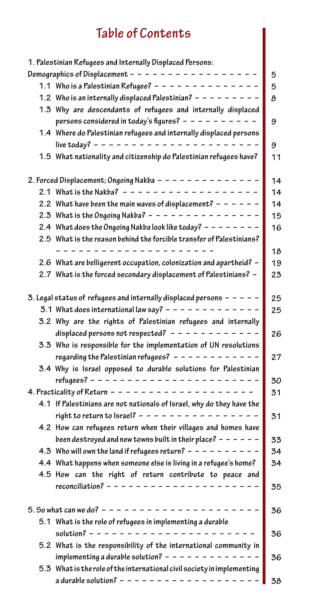### **Table of Contents**

| 1. Palestinian Refugees and Internally Displaced Persons:               |    |
|-------------------------------------------------------------------------|----|
| Demographics of Displacement - - - - - - - - -                          | 5  |
| 1.1 Who is a Palestinian Refugee? - - - - - - - - - - - - - -           | 5  |
| 1.2 Who is an internally displaced Palestinian? $- - -$                 | 8  |
| 1.3 Why are descendants of refugees and internally displaced            |    |
| persons considered in today's figures? - - - - - - - - - -              | 9  |
| 1.4 Where do Palestinian refugees and internally displaced persons      |    |
| live today? - - - - - - - - - - - - - -                                 | 9  |
| 1.5 What nationality and citizenship do Palestinian refugees have?      | 11 |
| 2. Forced Displacement; Ongoing Nakba - - - - - -                       | 14 |
| 2.1 What is the Nakba? - - - - - - - - - - - - - - - - - -              | 14 |
| 2.2 What have been the main waves of displacement? - - - - - -          | 14 |
| 2.3 What is the Ongoing Nakba? - - - - - - - - - - - - - - -            | 15 |
| 2.4 What does the Ongoing Nakba look like today? $- - - - -$            | 16 |
| 2.5 What is the reason behind the forcible transfer of Palestinians?    |    |
|                                                                         | 18 |
| 2.6 What are belligerent occupation, colonization and apartheid? -      | 19 |
| 2.7 What is the forced secondary displacement of Palestinians? -        | 23 |
|                                                                         |    |
| 3. Legal status of refugees and internally displaced persons $- -$      | 25 |
| 3.1 What does international law say? - - - - - - - -                    | 25 |
| 3.2 Why are the rights of Palestinian refugees and internally           |    |
| displaced persons not respected? $- - - - - - - - -$                    | 26 |
| 3.3 Who is responsible for the implementation of UN resolutions         |    |
| regarding the Palestinian refugees? $- - - - - - -$                     | 27 |
| 3.4 Why is Israel opposed to durable solutions for Palestinian          |    |
|                                                                         | 30 |
| 4. Practicality of Return - - - - - - - - - - - - - -                   | 31 |
| 4.1 If Palestinians are not nationals of Israel, why do they have the   |    |
| right to return to Israel? - - - - - - -                                | 31 |
| 4.2 How can refugees return when their villages and homes have          |    |
| been destroyed and new towns built in their place? $- - - - -$          | 33 |
| 4.3 Who will own the land if refugees return? $- - - - -$               | 34 |
| 4.4 What happens when someone else is living in a refugee's home?       | 34 |
| 4.5 How can the right of return contribute to peace and                 |    |
| reconciliation? - - - - - - - - - - -                                   | 35 |
|                                                                         |    |
| 5. So what can we do? $-$ -                                             | 36 |
| 5.1 What is the role of refugees in implementing a durable              |    |
| solution? $- - - -$                                                     | 36 |
| 5.2 What is the responsibility of the international community in        |    |
| implementing a durable solution? - - - - - - - - - - - -                | 36 |
| 5.3 What is the role of the international civil society in implementing |    |
| a durable solution? $- - - - - - - -$                                   |    |
|                                                                         | 38 |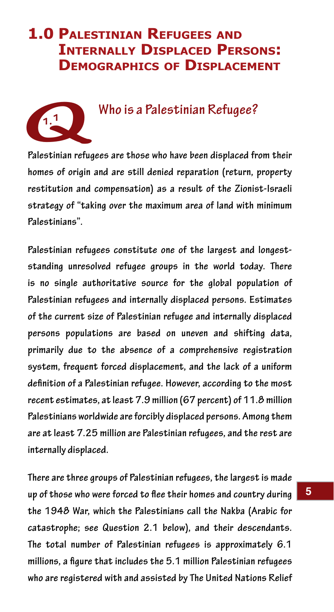# **1.0 Palestinian Refugees and Internally Displaced Persons: Demographics of Displacement**



#### **1.1 Who is a Palestinian Refugee?**

**Palestinian refugees are those who have been displaced from their homes of origin and are still denied reparation (return, property restitution and compensation) as a result of the Zionist-Israeli strategy of "taking over the maximum area of land with minimum Palestinians".** 

**Palestinian refugees constitute one of the largest and longeststanding unresolved refugee groups in the world today. There is no single authoritative source for the global population of Palestinian refugees and internally displaced persons. Estimates of the current size of Palestinian refugee and internally displaced persons populations are based on uneven and shifting data, primarily due to the absence of a comprehensive registration system, frequent forced displacement, and the lack of a uniform definition of a Palestinian refugee. However, according to the most recent estimates, at least 7.9 million (67 percent) of 11.8 million Palestinians worldwide are forcibly displaced persons. Among them are at least 7.25 million are Palestinian refugees, and the rest are internally displaced.** 

**There are three groups of Palestinian refugees, the largest is made up of those who were forced to flee their homes and country during the 1948 War, which the Palestinians call the Nakba (Arabic for catastrophe; see Question 2.1 below), and their descendants. The total number of Palestinian refugees is approximately 6.1 millions, a figure that includes the 5.1 million Palestinian refugees who are registered with and assisted by The United Nations Relief**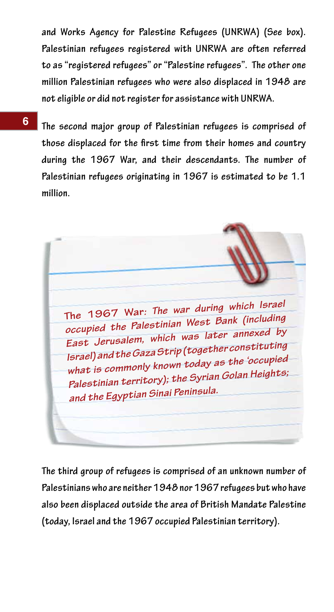**and Works Agency for Palestine Refugees (UNRWA) (See box). Palestinian refugees registered with UNRWA are often referred to as "registered refugees" or "Palestine refugees". The other one million Palestinian refugees who were also displaced in 1948 are not eligible or did not register for assistance with UNRWA.**

**6**

**The second major group of Palestinian refugees is comprised of those displaced for the first time from their homes and country during the 1967 War, and their descendants. The number of Palestinian refugees originating in 1967 is estimated to be 1.1 million.**

**The 1967 War***: The war during which Israel occupied the Palestinian West Bank (including East Jerusalem, which was later annexed by Israel) and the Gaza Strip (together constituting what is commonly known today as the 'occupied Palestinian territory); the Syrian Golan Heights; and the Egyptian Sinai Peninsula.*

**The third group of refugees is comprised of an unknown number of Palestinians who are neither 1948 nor 1967 refugees but who have also been displaced outside the area of British Mandate Palestine (today, Israel and the 1967 occupied Palestinian territory).**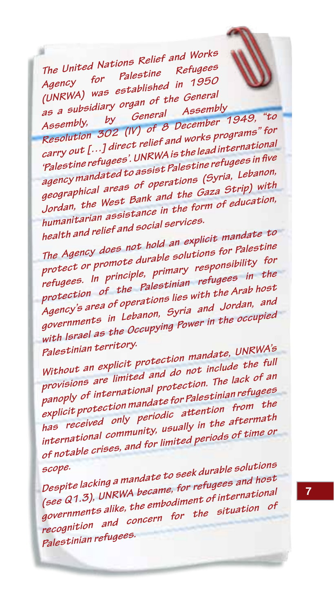*The United Nations Relief and Works Agency for Palestine Refugees (UNRWA) was established in 1950 as a subsidiary organ of the General* 

*Assembly, by General Assembly*  as a substitute of *General Assembly*, the *Assembly, by General Assembly, "to <br>Resolution 302 (IV) of 8 December 1949, "for<br>Resolution 502 (IV) of 8 December 1949, "to programs" for carry out […] direct relief and works programs" for 'Palestine refugees'. UNRWA is the lead international agency mandated to assist Palestine refugees in five geographical areas of operations (Syria, Lebanon, Jordan, the West Bank and the Gaza Strip) with humanitarian assistance in the form of education, health and relief and social services.*

*The Agency does not hold an explicit mandate to protect or promote durable solutions for Palestine refugees. In principle, primary responsibility for protection of the Palestinian refugees in the Agency's area of operations lies with the Arab host governments in Lebanon, Syria and Jordan, and with Israel as the Occupying Power in the occupied* 

*Palestinian territory. Without an explicit protection mandate, UNRWA's provisions are limited and do not include the full panoply of international protection. The lack of an explicit protection mandate for Palestinian refugees has received only periodic attention from the international community, usually in the aftermath of notable crises, and for limited periods of time or* 

*scope. Despite lacking a mandate to seek durable solutions (see Q1.3), UNRWA became, for refugees and host governments alike, the embodiment of international recognition and concern for the situation of Palestinian refugees.*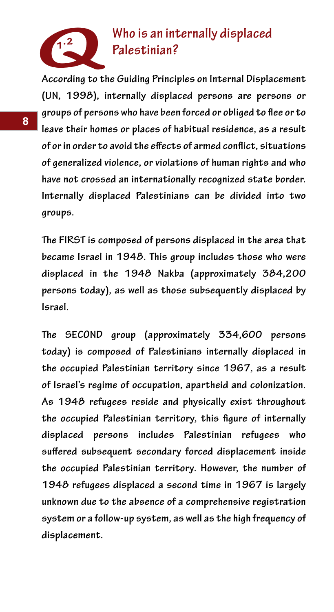

## **1.2 Who is an internally displaced Palestinian?**

**According to the Guiding Principles on Internal Displacement (UN, 1998), internally displaced persons are persons or groups of persons who have been forced or obliged to flee or to leave their homes or places of habitual residence, as a result of or in order to avoid the effects of armed conflict, situations of generalized violence, or violations of human rights and who have not crossed an internationally recognized state border. Internally displaced Palestinians can be divided into two groups.** 

**The FIRST is composed of persons displaced in the area that became Israel in 1948. This group includes those who were displaced in the 1948 Nakba (approximately 384,200 persons today), as well as those subsequently displaced by Israel.**

**The SECOND group (approximately 334,600 persons today) is composed of Palestinians internally displaced in the occupied Palestinian territory since 1967, as a result of Israel's regime of occupation, apartheid and colonization. As 1948 refugees reside and physically exist throughout the occupied Palestinian territory, this figure of internally displaced persons includes Palestinian refugees who suffered subsequent secondary forced displacement inside the occupied Palestinian territory. However, the number of 1948 refugees displaced a second time in 1967 is largely unknown due to the absence of a comprehensive registration system or a follow-up system, as well as the high frequency of displacement.**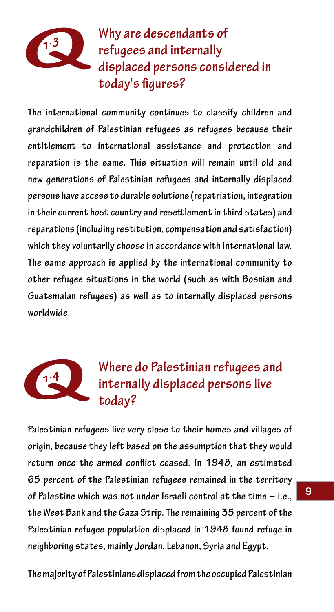

 **1.3 Why are descendants of refugees and internally displaced persons considered in today's figures?**

**The international community continues to classify children and grandchildren of Palestinian refugees as refugees because their entitlement to international assistance and protection and reparation is the same. This situation will remain until old and new generations of Palestinian refugees and internally displaced persons have access to durable solutions (repatriation, integration in their current host country and resettlement in third states) and reparations (including restitution, compensation and satisfaction) which they voluntarily choose in accordance with international law. The same approach is applied by the international community to other refugee situations in the world (such as with Bosnian and Guatemalan refugees) as well as to internally displaced persons worldwide.**



# **1.4** Where do Palestinian refugees and internally displaced persons live  **today?**

**Palestinian refugees live very close to their homes and villages of origin, because they left based on the assumption that they would return once the armed conflict ceased. In 1948, an estimated 65 percent of the Palestinian refugees remained in the territory of Palestine which was not under Israeli control at the time – i.e., the West Bank and the Gaza Strip. The remaining 35 percent of the Palestinian refugee population displaced in 1948 found refuge in neighboring states, mainly Jordan, Lebanon, Syria and Egypt.**

**The majority of Palestinians displaced from the occupied Palestinian**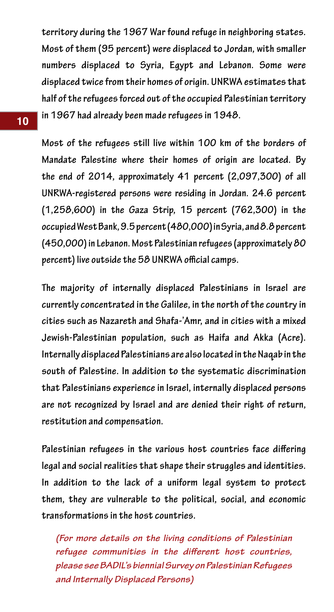**territory during the 1967 War found refuge in neighboring states. Most of them (95 percent) were displaced to Jordan, with smaller numbers displaced to Syria, Egypt and Lebanon. Some were displaced twice from their homes of origin. UNRWA estimates that half of the refugees forced out of the occupied Palestinian territory in 1967 had already been made refugees in 1948.**

**Most of the refugees still live within 100 km of the borders of Mandate Palestine where their homes of origin are located. By the end of 2014, approximately 41 percent (2,097,300) of all UNRWA-registered persons were residing in Jordan. 24.6 percent (1,258,600) in the Gaza Strip, 15 percent (762,300) in the occupied West Bank, 9.5 percent (480,000) in Syria, and 8.8 percent (450,000) in Lebanon. Most Palestinian refugees (approximately 80 percent) live outside the 58 UNRWA official camps.**

**The majority of internally displaced Palestinians in Israel are currently concentrated in the Galilee, in the north of the country in cities such as Nazareth and Shafa-'Amr, and in cities with a mixed Jewish-Palestinian population, such as Haifa and Akka (Acre). Internally displaced Palestinians are also located in the Naqab in the south of Palestine. In addition to the systematic discrimination that Palestinians experience in Israel, internally displaced persons are not recognized by Israel and are denied their right of return, restitution and compensation.**

**Palestinian refugees in the various host countries face differing legal and social realities that shape their struggles and identities. In addition to the lack of a uniform legal system to protect them, they are vulnerable to the political, social, and economic transformations in the host countries.** 

*(For more details on the living conditions of Palestinian refugee communities in the different host countries, please see BADIL's biennial Survey on Palestinian Refugees and Internally Displaced Persons)*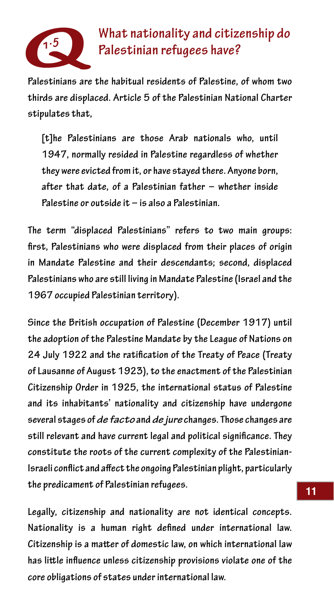

# **1.5 What nationality and citizenship do Palestinian refugees have?**

**Palestinians are the habitual residents of Palestine, of whom two thirds are displaced. Article 5 of the Palestinian National Charter stipulates that,**

**[t]he Palestinians are those Arab nationals who, until 1947, normally resided in Palestine regardless of whether they were evicted from it, or have stayed there. Anyone born, after that date, of a Palestinian father – whether inside Palestine or outside it – is also a Palestinian.**

**The term "displaced Palestinians" refers to two main groups: first, Palestinians who were displaced from their places of origin in Mandate Palestine and their descendants; second, displaced Palestinians who are still living in Mandate Palestine (Israel and the 1967 occupied Palestinian territory).**

**Since the British occupation of Palestine (December 1917) until the adoption of the Palestine Mandate by the League of Nations on 24 July 1922 and the ratification of the Treaty of Peace (Treaty of Lausanne of August 1923), to the enactment of the Palestinian Citizenship Order in 1925, the international status of Palestine and its inhabitants' nationality and citizenship have undergone several stages of** *de facto* **and** *de jure* **changes. Those changes are still relevant and have current legal and political significance. They constitute the roots of the current complexity of the Palestinian-Israeli conflict and affect the ongoing Palestinian plight, particularly the predicament of Palestinian refugees.**

**Legally, citizenship and nationality are not identical concepts. Nationality is a human right defined under international law. Citizenship is a matter of domestic law, on which international law has little influence unless citizenship provisions violate one of the core obligations of states under international law.**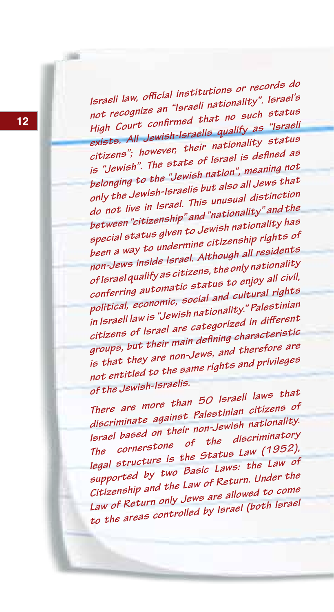*Israeli law, official institutions or records do not recognize an "Israeli nationality". Israel's High Court confirmed that no such status exists. All Jewish-Israelis qualify as "Israeli citizens"; however, their nationality status is "Jewish". The state of Israel is defined as belonging to the "Jewish nation", meaning not only the Jewish-Israelis but also all Jews that do not live in Israel. This unusual distinction between "citizenship" and "nationality" and the special status given to Jewish nationality has been a way to undermine citizenship rights of non-Jews inside Israel. Although all residents of Israel qualify as citizens, the only nationality conferring automatic status to enjoy all civil, political, economic, social and cultural rights in Israeli law is "Jewish nationality." Palestinian citizens of Israel are categorized in different groups, but their main defining characteristic is that they are non-Jews, and therefore are not entitled to the same rights and privileges of the Jewish-Israelis.*

*There are more than 50 Israeli laws that discriminate against Palestinian citizens of Israel based on their non-Jewish nationality. The cornerstone of the discriminatory legal structure is the Status Law (1952), supported by two Basic Laws: the Law of Citizenship and the Law of Return. Under the Law of Return only Jews are allowed to come to the areas controlled by Israel (both Israel*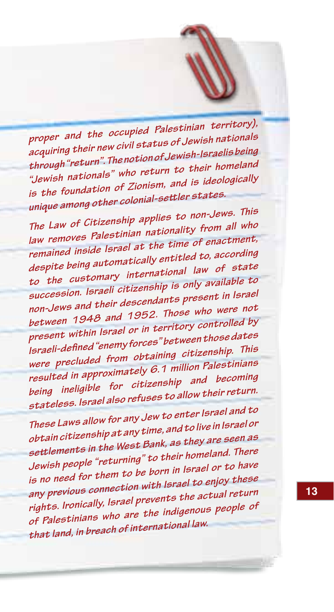*proper and the occupied Palestinian territory), acquiring their new civil status of Jewish nationals through "return". The notion of Jewish-Israelis being "Jewish nationals" who return to their homeland is the foundation of Zionism, and is ideologically unique among other colonial-settler states.*

*The Law of Citizenship applies to non-Jews. This law removes Palestinian nationality from all who remained inside Israel at the time of enactment, despite being automatically entitled to, according to the customary international law of state succession. Israeli citizenship is only available to non-Jews and their descendants present in Israel between 1948 and 1952. Those who were not present within Israel or in territory controlled by Israeli-defined "enemy forces" between those dates were precluded from obtaining citizenship. This resulted in approximately 6.1 million Palestinians being ineligible for citizenship and becoming stateless. Israel also refuses to allow their return.*

*These Laws allow for any Jew to enter Israel and to obtain citizenship at any time, and to live in Israel or settlements in the West Bank, as they are seen as Jewish people "returning" to their homeland. There is no need for them to be born in Israel or to have any previous connection with Israel to enjoy these rights. Ironically, Israel prevents the actual return of Palestinians who are the indigenous people of that land, in breach of international law.*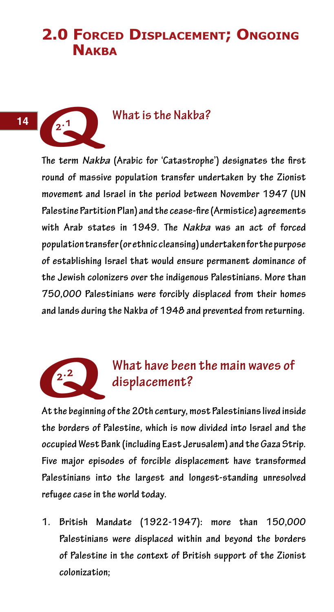# **2.0 Forced Displacement; Ongoing NAKBA**

#### **2.1 What is the Nakba?**

**The term** *Nakba* **(Arabic for 'Catastrophe') designates the first round of massive population transfer undertaken by the Zionist movement and Israel in the period between November 1947 (UN Palestine Partition Plan) and the cease-fire (Armistice) agreements with Arab states in 1949. The** *Nakba* **was an act of forced population transfer (or ethnic cleansing) undertaken for the purpose of establishing Israel that would ensure permanent dominance of the Jewish colonizers over the indigenous Palestinians. More than 750,000 Palestinians were forcibly displaced from their homes and lands during the Nakba of 1948 and prevented from returning. PART**<br>
The term Nakk<br>
round of massi



# **2.2 What have been the main waves of displacement?**

**At the beginning of the 20th century, most Palestinians lived inside the borders of Palestine, which is now divided into Israel and the occupied West Bank (including East Jerusalem) and the Gaza Strip. Five major episodes of forcible displacement have transformed Palestinians into the largest and longest-standing unresolved refugee case in the world today.**

**1. British Mandate (1922-1947): more than 150,000 Palestinians were displaced within and beyond the borders of Palestine in the context of British support of the Zionist colonization;**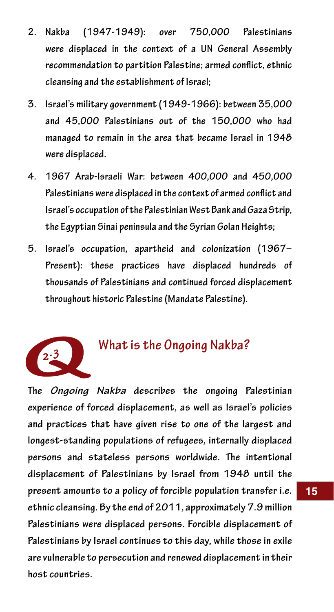- **2. Nakba (1947-1949): over 750,000 Palestinians were displaced in the context of a UN General Assembly recommendation to partition Palestine; armed conflict, ethnic cleansing and the establishment of Israel;**
- **3. Israel's military government (1949-1966): between 35,000 and 45,000 Palestinians out of the 150,000 who had managed to remain in the area that became Israel in 1948 were displaced.**
- **4. 1967 Arab-Israeli War: between 400,000 and 450,000 Palestinians were displaced in the context of armed conflict and Israel's occupation of the Palestinian West Bank and Gaza Strip, the Egyptian Sinai peninsula and the Syrian Golan Heights;**
- **5. Israel's occupation, apartheid and colonization (1967– Present): these practices have displaced hundreds of thousands of Palestinians and continued forced displacement throughout historic Palestine (Mandate Palestine).**



#### **2.3 What is the Ongoing Nakba?**

**The** *Ongoing Nakba* **describes the ongoing Palestinian experience of forced displacement, as well as Israel's policies and practices that have given rise to one of the largest and longest-standing populations of refugees, internally displaced persons and stateless persons worldwide. The intentional displacement of Palestinians by Israel from 1948 until the present amounts to a policy of forcible population transfer i.e. ethnic cleansing. By the end of 2011, approximately 7.9 million Palestinians were displaced persons. Forcible displacement of Palestinians by Israel continues to this day, while those in exile are vulnerable to persecution and renewed displacement in their host countries.**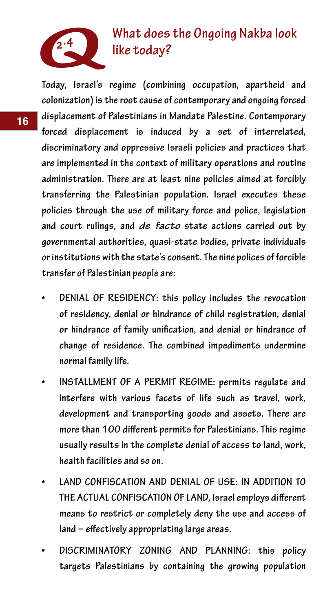

# **2.4 What does the Ongoing Nakba look like today?**

**Today, Israel's regime (combining occupation, apartheid and colonization) is the root cause of contemporary and ongoing forced displacement of Palestinians in Mandate Palestine. Contemporary forced displacement is induced by a set of interrelated, discriminatory and oppressive Israeli policies and practices that are implemented in the context of military operations and routine administration. There are at least nine policies aimed at forcibly transferring the Palestinian population. Israel executes these policies through the use of military force and police, legislation and court rulings, and** *de facto* **state actions carried out by governmental authorities, quasi-state bodies, private individuals or institutions with the state's consent. The nine polices of forcible transfer of Palestinian people are:**

- **DENIAL OF RESIDENCY: this policy includes the revocation of residency, denial or hindrance of child registration, denial or hindrance of family unification, and denial or hindrance of change of residence. The combined impediments undermine normal family life.**
- **INSTALLMENT OF A PERMIT REGIME: permits regulate and interfere with various facets of life such as travel, work, development and transporting goods and assets. There are more than 100 different permits for Palestinians. This regime usually results in the complete denial of access to land, work, health facilities and so on.**
- **LAND CONFISCATION AND DENIAL OF USE: IN ADDITION TO THE ACTUAL CONFISCATION OF LAND, Israel employs different means to restrict or completely deny the use and access of land – effectively appropriating large areas.**
- **• DISCRIMINATORY ZONING AND PLANNING: this policy targets Palestinians by containing the growing population**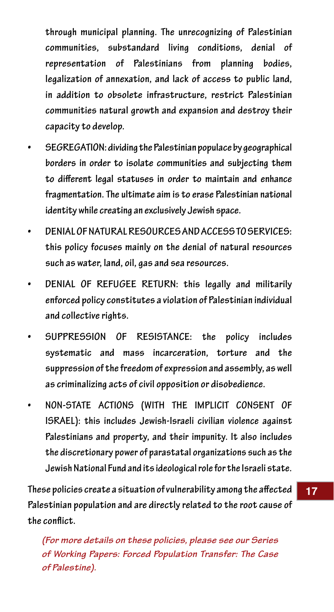**through municipal planning. The unrecognizing of Palestinian communities, substandard living conditions, denial of representation of Palestinians from planning bodies, legalization of annexation, and lack of access to public land, in addition to obsolete infrastructure, restrict Palestinian communities natural growth and expansion and destroy their capacity to develop.** 

- *SEGREGATION: dividing the Palestinian populace by geographical* **borders in order to isolate communities and subjecting them to different legal statuses in order to maintain and enhance fragmentation. The ultimate aim is to erase Palestinian national identity while creating an exclusively Jewish space.**
- **DENIAL OF NATURAL RESOURCES AND ACCESS TO SERVICES: this policy focuses mainly on the denial of natural resources such as water, land, oil, gas and sea resources.**
- **DENIAL OF REFUGEE RETURN: this legally and militarily enforced policy constitutes a violation of Palestinian individual and collective rights.**
- **• SUPPRESSION OF RESISTANCE: the policy includes systematic and mass incarceration, torture and the suppression of the freedom of expression and assembly, as well as criminalizing acts of civil opposition or disobedience.**
- **• NON-STATE ACTIONS (WITH THE IMPLICIT CONSENT OF ISRAEL): this includes Jewish-Israeli civilian violence against Palestinians and property, and their impunity. It also includes the discretionary power of parastatal organizations such as the Jewish National Fund and its ideological role for the Israeli state.**

**These policies create a situation of vulnerability among the affected Palestinian population and are directly related to the root cause of the conflict.** 

*(For more details on these policies, please see our Series of Working Papers: Forced Population Transfer: The Case of Palestine).*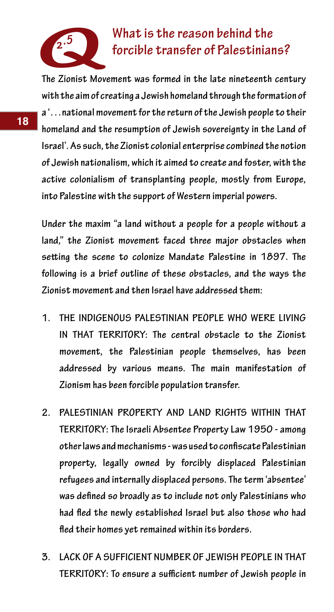

# **2.5** What is the reason behind the **forcible transfer of Palestinians**?

**The Zionist Movement was formed in the late nineteenth century with the aim of creating a Jewish homeland through the formation of a '…national movement for the return of the Jewish people to their homeland and the resumption of Jewish sovereignty in the Land of Israel'. As such, the Zionist colonial enterprise combined the notion of Jewish nationalism, which it aimed to create and foster, with the active colonialism of transplanting people, mostly from Europe, into Palestine with the support of Western imperial powers.**

**Under the maxim "a land without a people for a people without a land," the Zionist movement faced three major obstacles when setting the scene to colonize Mandate Palestine in 1897. The following is a brief outline of these obstacles, and the ways the Zionist movement and then Israel have addressed them:**

- **1. THE INDIGENOUS PALESTINIAN PEOPLE WHO WERE LIVING IN THAT TERRITORY: The central obstacle to the Zionist movement, the Palestinian people themselves, has been addressed by various means. The main manifestation of Zionism has been forcible population transfer.**
- **2. PALESTINIAN PROPERTY AND LAND RIGHTS WITHIN THAT TERRITORY: The Israeli Absentee Property Law 1950 - among other laws and mechanisms - was used to confiscate Palestinian property, legally owned by forcibly displaced Palestinian refugees and internally displaced persons. The term 'absentee' was defined so broadly as to include not only Palestinians who had fled the newly established Israel but also those who had fled their homes yet remained within its borders.**
- **3. LACK OF A SUFFICIENT NUMBER OF JEWISH PEOPLE IN THAT TERRITORY: To ensure a sufficient number of Jewish people in**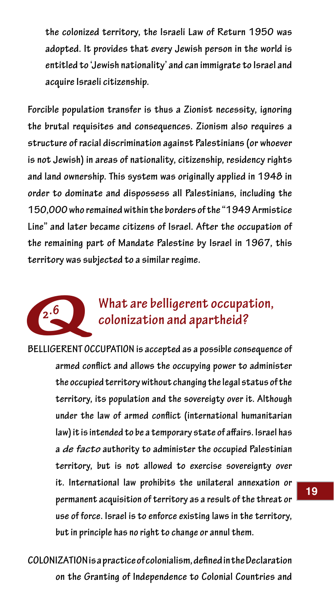**the colonized territory, the Israeli Law of Return 1950 was adopted. It provides that every Jewish person in the world is entitled to 'Jewish nationality' and can immigrate to Israel and acquire Israeli citizenship.** 

**Forcible population transfer is thus a Zionist necessity, ignoring the brutal requisites and consequences. Zionism also requires a structure of racial discrimination against Palestinians (or whoever is not Jewish) in areas of nationality, citizenship, residency rights and land ownership. This system was originally applied in 1948 in order to dominate and dispossess all Palestinians, including the 150,000 who remained within the borders of the "1949 Armistice Line" and later became citizens of Israel. After the occupation of the remaining part of Mandate Palestine by Israel in 1967, this territory was subjected to a similar regime.** the remaining p<br>territory was su<br>2.6<br>**BELLIGERENT O**<br>armed co

# **2.6 What are belligerent occupation, colonization and apartheid?**

**BELLIGERENT OCCUPATION is accepted as a possible consequence of armed conflict and allows the occupying power to administer the occupied territory without changing the legal status of the territory, its population and the sovereigty over it. Although under the law of armed conflict (international humanitarian law) it is intended to be a temporary state of affairs. Israel has a** *de facto* **authority to administer the occupied Palestinian territory, but is not allowed to exercise sovereignty over it. International law prohibits the unilateral annexation or permanent acquisition of territory as a result of the threat or use of force. Israel is to enforce existing laws in the territory, but in principle has no right to change or annul them.**

**COLONIZATION is a practice of colonialism, defined in the Declaration on the Granting of Independence to Colonial Countries and**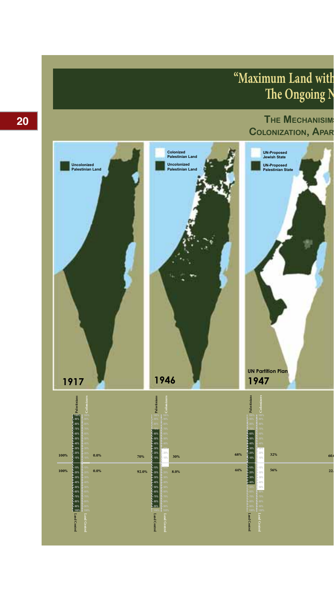# **"Maximum Land with The Ongoing N**



**20**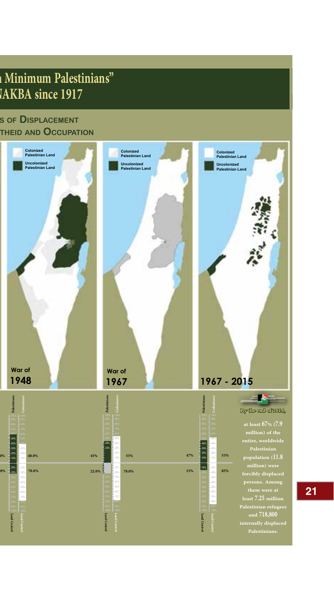# **"Maximum Land with Minimum Palestinians" THE ONGOING ISLAN**

#### **The MechanisiMs of DisplaceMenT colonizaTion, aparTheiD anD occupaTion**



**21**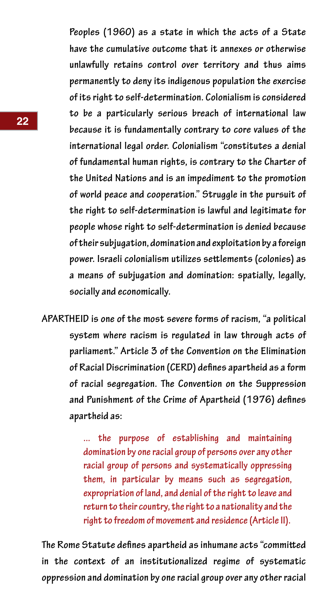**Peoples (1960) as a state in which the acts of a State have the cumulative outcome that it annexes or otherwise unlawfully retains control over territory and thus aims permanently to deny its indigenous population the exercise of its right to self-determination. Colonialism is considered to be a particularly serious breach of international law because it is fundamentally contrary to core values of the international legal order. Colonialism "constitutes a denial of fundamental human rights, is contrary to the Charter of the United Nations and is an impediment to the promotion of world peace and cooperation." Struggle in the pursuit of the right to self-determination is lawful and legitimate for people whose right to self-determination is denied because of their subjugation, domination and exploitation by a foreign power. Israeli colonialism utilizes settlements (colonies) as a means of subjugation and domination: spatially, legally, socially and economically.**

**APARTHEID is one of the most severe forms of racism, "a political system where racism is regulated in law through acts of parliament." Article 3 of the Convention on the Elimination of Racial Discrimination (CERD) defines apartheid as a form of racial segregation. The Convention on the Suppression and Punishment of the Crime of Apartheid (1976) defines apartheid as:**

> **... the purpose of establishing and maintaining domination by one racial group of persons over any other racial group of persons and systematically oppressing them, in particular by means such as segregation, expropriation of land, and denial of the right to leave and return to their country, the right to a nationality and the right to freedom of movement and residence (Article II).**

**The Rome Statute defines apartheid as inhumane acts "committed in the context of an institutionalized regime of systematic oppression and domination by one racial group over any other racial**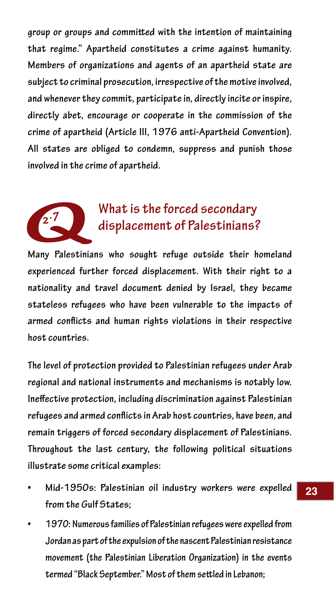**group or groups and committed with the intention of maintaining that regime." Apartheid constitutes a crime against humanity. Members of organizations and agents of an apartheid state are subject to criminal prosecution, irrespective of the motive involved, and whenever they commit, participate in, directly incite or inspire, directly abet, encourage or cooperate in the commission of the crime of apartheid (Article III, 1976 anti-Apartheid Convention). All states are obliged to condemn, suppress and punish those involved in the crime of apartheid.**



## **2.7 What is the forced secondary displacement of Palestinians?**

**Many Palestinians who sought refuge outside their homeland experienced further forced displacement. With their right to a nationality and travel document denied by Israel, they became stateless refugees who have been vulnerable to the impacts of armed conflicts and human rights violations in their respective host countries.**

**The level of protection provided to Palestinian refugees under Arab regional and national instruments and mechanisms is notably low. Ineffective protection, including discrimination against Palestinian refugees and armed conflicts in Arab host countries, have been, and remain triggers of forced secondary displacement of Palestinians. Throughout the last century, the following political situations illustrate some critical examples:**

- **• Mid-1950s: Palestinian oil industry workers were expelled from the Gulf States;**
- **• 1970: Numerous families of Palestinian refugees were expelled from Jordan as part of the expulsion of the nascent Palestinian resistance movement (the Palestinian Liberation Organization) in the events termed "Black September." Most of them settled in Lebanon;**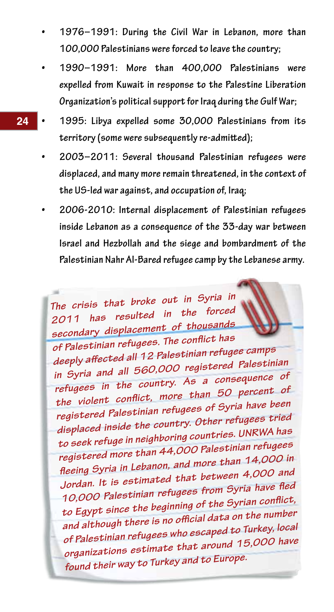- **• 1976–1991: During the Civil War in Lebanon, more than 100,000 Palestinians were forced to leave the country;**
- **• 1990–1991: More than 400,000 Palestinians were expelled from Kuwait in response to the Palestine Liberation Organization's political support for Iraq during the Gulf War;**
- **• 1995: Libya expelled some 30,000 Palestinians from its territory (some were subsequently re-admitted);**
- **• 2003–2011: Several thousand Palestinian refugees were displaced, and many more remain threatened, in the context of the US-led war against, and occupation of, Iraq;**
- **• 2006-2010: Internal displacement of Palestinian refugees inside Lebanon as a consequence of the 33-day war between Israel and Hezbollah and the siege and bombardment of the Palestinian Nahr Al-Bared refugee camp by the Lebanese army.**

*The crisis that broke out in Syria in 2011 has resulted in the forced secondary displacement of thousands of Palestinian refugees. The conflict has deeply affected all 12 Palestinian refugee camps in Syria and all 560,000 registered Palestinian refugees in the country. As a consequence o<sup>f</sup> the violent conflict, more than 50 percent of registered Palestinian refugees of Syria have been displaced inside the country. Other refugees tried to seek refuge in neighboring countries. UNRWA has registered more than 44,000 Palestinian refugees fleeing Syria in Lebanon, and more than 14,000 in Jordan. It is estimated that between 4,000 and 10,000 Palestinian refugees from Syria have fled to Egypt since the beginning of the Syrian conflict, and although there is no official data on the number of Palestinian refugees who escaped to Turkey, local organizations estimate that around 15,000 have found their way to Turkey and to Europe.*

**24**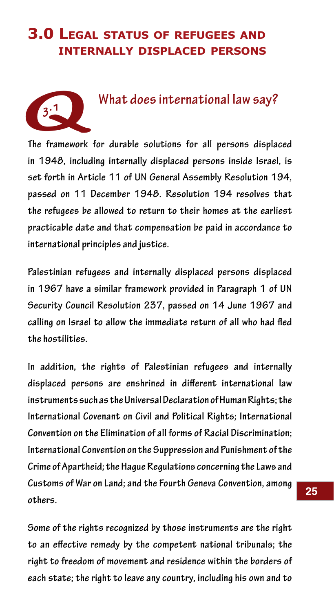### **3.0 Legal status of refugees and internally displaced persons**



#### **3.1 What does international law say?**

**The framework for durable solutions for all persons displaced in 1948, including internally displaced persons inside Israel, is set forth in Article 11 of UN General Assembly Resolution 194, passed on 11 December 1948. Resolution 194 resolves that the refugees be allowed to return to their homes at the earliest practicable date and that compensation be paid in accordance to international principles and justice.**

**Palestinian refugees and internally displaced persons displaced in 1967 have a similar framework provided in Paragraph 1 of UN Security Council Resolution 237, passed on 14 June 1967 and calling on Israel to allow the immediate return of all who had fled the hostilities.**

**In addition, the rights of Palestinian refugees and internally displaced persons are enshrined in different international law instruments such as the Universal Declaration of Human Rights; the International Covenant on Civil and Political Rights; International Convention on the Elimination of all forms of Racial Discrimination; International Convention on the Suppression and Punishment of the Crime of Apartheid; the Hague Regulations concerning the Laws and Customs of War on Land; and the Fourth Geneva Convention, among others.**

**Some of the rights recognized by those instruments are the right to an effective remedy by the competent national tribunals; the right to freedom of movement and residence within the borders of each state; the right to leave any country, including his own and to**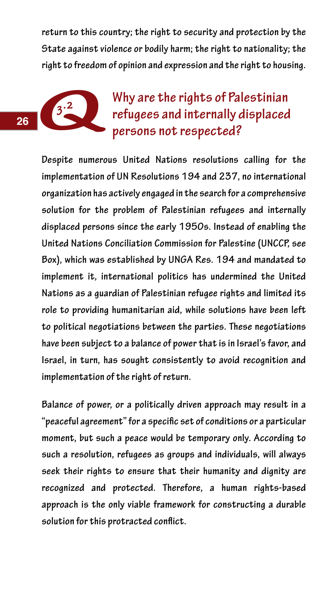**return to this country; the right to security and protection by the State against violence or bodily harm; the right to nationality; the right to freedom of opinion and expression and the right to housing.**

# **13.2** Why are the rights of Palestinian refugees and internally displaced **Persons not respected?** State against v<br>right to freedom<br>**3.2**<br>Despite numero

**Despite numerous United Nations resolutions calling for the implementation of UN Resolutions 194 and 237, no international organization has actively engaged in the search for a comprehensive solution for the problem of Palestinian refugees and internally displaced persons since the early 1950s. Instead of enabling the United Nations Conciliation Commission for Palestine (UNCCP, see Box), which was established by UNGA Res. 194 and mandated to implement it, international politics has undermined the United Nations as a guardian of Palestinian refugee rights and limited its role to providing humanitarian aid, while solutions have been left to political negotiations between the parties. These negotiations have been subject to a balance of power that is in Israel's favor, and Israel, in turn, has sought consistently to avoid recognition and implementation of the right of return.**

**Balance of power, or a politically driven approach may result in a "peaceful agreement" for a specific set of conditions or a particular moment, but such a peace would be temporary only. According to such a resolution, refugees as groups and individuals, will always seek their rights to ensure that their humanity and dignity are recognized and protected. Therefore, a human rights-based approach is the only viable framework for constructing a durable solution for this protracted conflict.**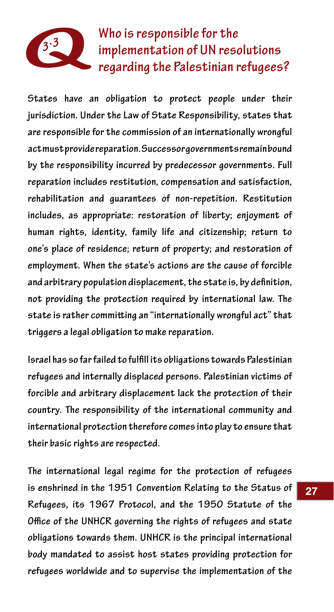

 **3.3 Who is responsible for the implementation of UN resolutions regarding the Palestinian refugees?**

**States have an obligation to protect people under their jurisdiction. Under the Law of State Responsibility, states that are responsible for the commission of an internationally wrongful act must provide reparation. Successor governments remain bound by the responsibility incurred by predecessor governments. Full reparation includes restitution, compensation and satisfaction, rehabilitation and guarantees of non-repetition. Restitution includes, as appropriate: restoration of liberty; enjoyment of human rights, identity, family life and citizenship; return to one's place of residence; return of property; and restoration of employment. When the state's actions are the cause of forcible and arbitrary population displacement, the state is, by definition, not providing the protection required by international law. The state is rather committing an "internationally wrongful act" that triggers a legal obligation to make reparation.**

**Israel has so far failed to fulfill its obligations towards Palestinian refugees and internally displaced persons. Palestinian victims of forcible and arbitrary displacement lack the protection of their country. The responsibility of the international community and international protection therefore comes into play to ensure that their basic rights are respected.**

**The international legal regime for the protection of refugees is enshrined in the 1951 Convention Relating to the Status of Refugees, its 1967 Protocol, and the 1950 Statute of the Office of the UNHCR governing the rights of refugees and state obligations towards them. UNHCR is the principal international body mandated to assist host states providing protection for refugees worldwide and to supervise the implementation of the**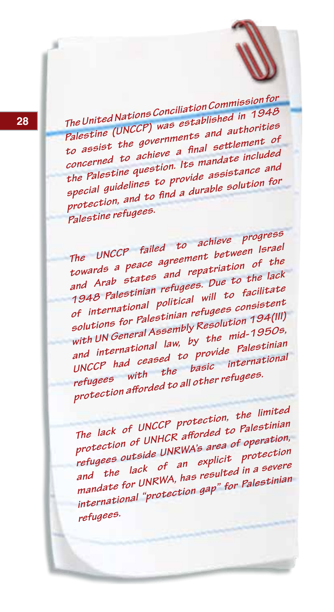**<sup>28</sup>** *The United Nations Conciliation Commission for Palestine (UNCCP) was established in <sup>1948</sup> to assist the governments and authorities concerned to achieve a final settlement o<sup>f</sup> the Palestine question. Its mandate included special guidelines to provide assistance and protection, and to find a durable solution for Palestine refugees.* 

*The UNCCP failed to achieve progress towards a peace agreement between Israe<sup>l</sup> and Arab states and repatriation of the 1948 Palestinian refugees. Due to the lack of international political will to facilitate solutions for Palestinian refugees consisten<sup>t</sup> with UN General Assembly Resolution 194(III) and international law, by the mid-1950s, UNCCP had ceased to provide Palestinian refugees with the basic internationa<sup>l</sup> protection afforded to all other refugees.*

*The lack of UNCCP protection, the limited protection of UNHCR afforded to Palestinian refugees outside UNRWA's area of operation, and the lack of an explicit protection mandate for UNRWA, has resulted in a severe international "protection gap" for Palestinian refugees.*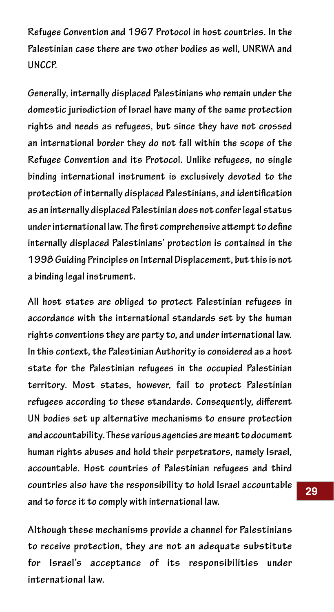**Refugee Convention and 1967 Protocol in host countries. In the Palestinian case there are two other bodies as well, UNRWA and UNCCP.** 

**Generally, internally displaced Palestinians who remain under the domestic jurisdiction of Israel have many of the same protection rights and needs as refugees, but since they have not crossed an international border they do not fall within the scope of the Refugee Convention and its Protocol. Unlike refugees, no single binding international instrument is exclusively devoted to the protection of internally displaced Palestinians, and identification as an internally displaced Palestinian does not confer legal status under international law. The first comprehensive attempt to define internally displaced Palestinians' protection is contained in the 1998 Guiding Principles on Internal Displacement, but this is not a binding legal instrument.**

**All host states are obliged to protect Palestinian refugees in accordance with the international standards set by the human rights conventions they are party to, and under international law. In this context, the Palestinian Authority is considered as a host state for the Palestinian refugees in the occupied Palestinian territory. Most states, however, fail to protect Palestinian refugees according to these standards. Consequently, different UN bodies set up alternative mechanisms to ensure protection and accountability. These various agencies are meant to document human rights abuses and hold their perpetrators, namely Israel, accountable. Host countries of Palestinian refugees and third countries also have the responsibility to hold Israel accountable and to force it to comply with international law.** 

**Although these mechanisms provide a channel for Palestinians to receive protection, they are not an adequate substitute for Israel's acceptance of its responsibilities under international law.**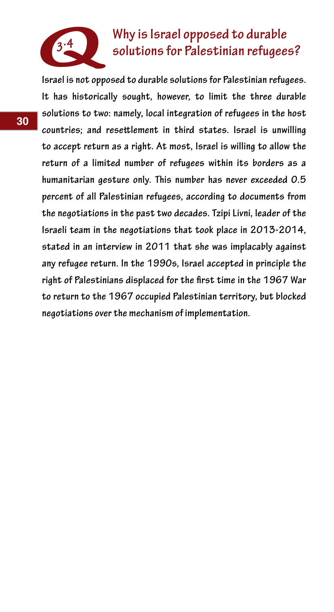

# **3.4 Why is Israel opposed to durable solutions for Palestinian refugees?**

**Israel is not opposed to durable solutions for Palestinian refugees. It has historically sought, however, to limit the three durable solutions to two: namely, local integration of refugees in the host countries; and resettlement in third states. Israel is unwilling to accept return as a right. At most, Israel is willing to allow the return of a limited number of refugees within its borders as a humanitarian gesture only. This number has never exceeded 0.5 percent of all Palestinian refugees, according to documents from the negotiations in the past two decades. Tzipi Livni, leader of the Israeli team in the negotiations that took place in 2013-2014, stated in an interview in 2011 that she was implacably against any refugee return. In the 1990s, Israel accepted in principle the right of Palestinians displaced for the first time in the 1967 War to return to the 1967 occupied Palestinian territory, but blocked negotiations over the mechanism of implementation.**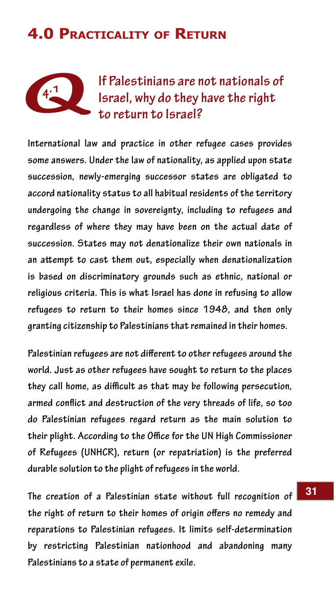# **4.0 Practicality of Return**



# **4.1 If Palestinians are not nationals of Israel, why do they have the right to return to Israel?**

**International law and practice in other refugee cases provides some answers. Under the law of nationality, as applied upon state succession, newly-emerging successor states are obligated to accord nationality status to all habitual residents of the territory undergoing the change in sovereignty, including to refugees and regardless of where they may have been on the actual date of succession. States may not denationalize their own nationals in an attempt to cast them out, especially when denationalization is based on discriminatory grounds such as ethnic, national or religious criteria. This is what Israel has done in refusing to allow refugees to return to their homes since 1948, and then only granting citizenship to Palestinians that remained in their homes.**

**Palestinian refugees are not different to other refugees around the world. Just as other refugees have sought to return to the places they call home, as difficult as that may be following persecution, armed conflict and destruction of the very threads of life, so too do Palestinian refugees regard return as the main solution to their plight. According to the Office for the UN High Commissioner of Refugees (UNHCR), return (or repatriation) is the preferred durable solution to the plight of refugees in the world.**

**The creation of a Palestinian state without full recognition of the right of return to their homes of origin offers no remedy and reparations to Palestinian refugees. It limits self-determination by restricting Palestinian nationhood and abandoning many Palestinians to a state of permanent exile.**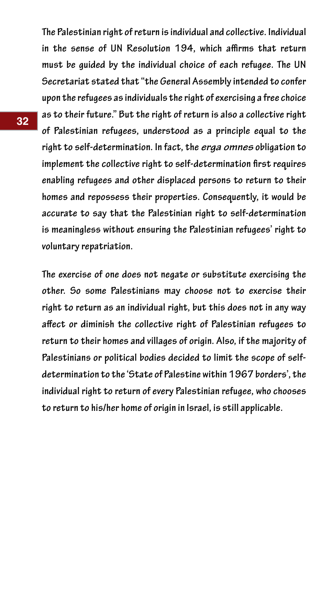**The Palestinian right of return is individual and collective. Individual in the sense of UN Resolution 194, which affirms that return must be guided by the individual choice of each refugee. The UN Secretariat stated that "the General Assembly intended to confer upon the refugees as individuals the right of exercising a free choice as to their future." But the right of return is also a collective right of Palestinian refugees, understood as a principle equal to the right to self-determination. In fact, the** *erga omnes* **obligation to implement the collective right to self-determination first requires enabling refugees and other displaced persons to return to their homes and repossess their properties. Consequently, it would be accurate to say that the Palestinian right to self-determination is meaningless without ensuring the Palestinian refugees' right to voluntary repatriation.**

**The exercise of one does not negate or substitute exercising the other. So some Palestinians may choose not to exercise their right to return as an individual right, but this does not in any way affect or diminish the collective right of Palestinian refugees to return to their homes and villages of origin. Also, if the majority of Palestinians or political bodies decided to limit the scope of selfdetermination to the 'State of Palestine within 1967 borders', the individual right to return of every Palestinian refugee, who chooses to return to his/her home of origin in Israel, is still applicable.**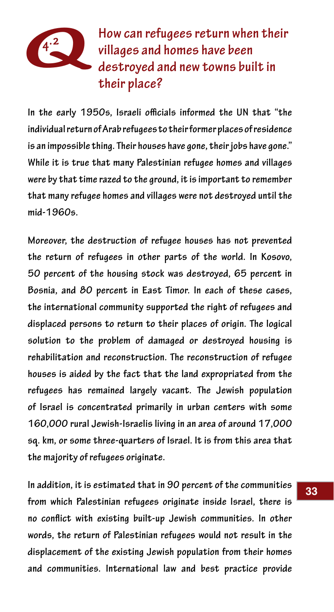# **Q 4.2 How can refugees return when their villages and homes have been destroyed and new towns built in their place?**

**In the early 1950s, Israeli officials informed the UN that "the individual return of Arab refugees to their former places of residence is an impossible thing. Their houses have gone, their jobs have gone." While it is true that many Palestinian refugee homes and villages were by that time razed to the ground, it is important to remember that many refugee homes and villages were not destroyed until the mid-1960s.** 

**Moreover, the destruction of refugee houses has not prevented the return of refugees in other parts of the world. In Kosovo, 50 percent of the housing stock was destroyed, 65 percent in Bosnia, and 80 percent in East Timor. In each of these cases, the international community supported the right of refugees and displaced persons to return to their places of origin. The logical solution to the problem of damaged or destroyed housing is rehabilitation and reconstruction. The reconstruction of refugee houses is aided by the fact that the land expropriated from the refugees has remained largely vacant. The Jewish population of Israel is concentrated primarily in urban centers with some 160,000 rural Jewish-Israelis living in an area of around 17,000 sq. km, or some three-quarters of Israel. It is from this area that the majority of refugees originate.**

**In addition, it is estimated that in 90 percent of the communities from which Palestinian refugees originate inside Israel, there is no conflict with existing built-up Jewish communities. In other words, the return of Palestinian refugees would not result in the displacement of the existing Jewish population from their homes and communities. International law and best practice provide**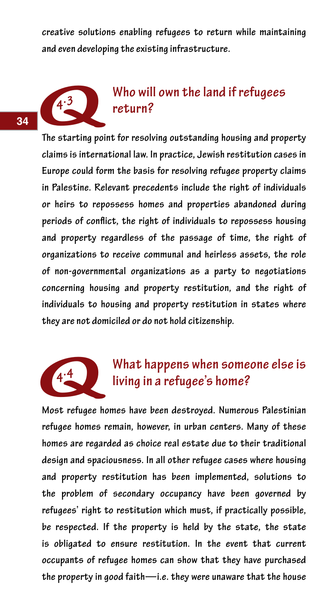**creative solutions enabling refugees to return while maintaining and even developing the existing infrastructure.**



## **4.3 Who will own the land if refugees return?**

**The starting point for resolving outstanding housing and property claims is international law. In practice, Jewish restitution cases in Europe could form the basis for resolving refugee property claims in Palestine. Relevant precedents include the right of individuals or heirs to repossess homes and properties abandoned during periods of conflict, the right of individuals to repossess housing and property regardless of the passage of time, the right of organizations to receive communal and heirless assets, the role of non-governmental organizations as a party to negotiations concerning housing and property restitution, and the right of individuals to housing and property restitution in states where they are not domiciled or do not hold citizenship.**



# **4.4** What happens when someone else is<br>living in a refugee's home?

**Most refugee homes have been destroyed. Numerous Palestinian refugee homes remain, however, in urban centers. Many of these homes are regarded as choice real estate due to their traditional design and spaciousness. In all other refugee cases where housing and property restitution has been implemented, solutions to the problem of secondary occupancy have been governed by refugees' right to restitution which must, if practically possible, be respected. If the property is held by the state, the state is obligated to ensure restitution. In the event that current occupants of refugee homes can show that they have purchased the property in good faith—i.e. they were unaware that the house**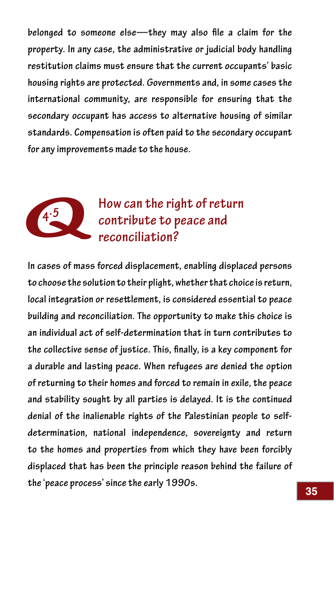**belonged to someone else—they may also file a claim for the property. In any case, the administrative or judicial body handling restitution claims must ensure that the current occupants' basic housing rights are protected. Governments and, in some cases the international community, are responsible for ensuring that the secondary occupant has access to alternative housing of similar standards. Compensation is often paid to the secondary occupant for any improvements made to the house.**



# **4.5 How can the right of return contribute to peace and reconciliation?**

**In cases of mass forced displacement, enabling displaced persons to choose the solution to their plight, whether that choice is return, local integration or resettlement, is considered essential to peace building and reconciliation. The opportunity to make this choice is an individual act of self-determination that in turn contributes to the collective sense of justice. This, finally, is a key component for a durable and lasting peace. When refugees are denied the option of returning to their homes and forced to remain in exile, the peace and stability sought by all parties is delayed. It is the continued denial of the inalienable rights of the Palestinian people to selfdetermination, national independence, sovereignty and return to the homes and properties from which they have been forcibly displaced that has been the principle reason behind the failure of the 'peace process' since the early 1990s.**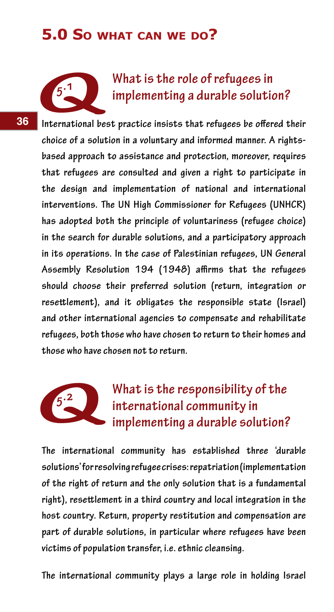### **5.0 So what can we do?**



**36**

# **5.1 What is the role of refugees in implementing a durable solution?**

**International best practice insists that refugees be offered their choice of a solution in a voluntary and informed manner. A rightsbased approach to assistance and protection, moreover, requires that refugees are consulted and given a right to participate in the design and implementation of national and international interventions. The UN High Commissioner for Refugees (UNHCR) has adopted both the principle of voluntariness (refugee choice) in the search for durable solutions, and a participatory approach in its operations. In the case of Palestinian refugees, UN General Assembly Resolution 194 (1948) affirms that the refugees should choose their preferred solution (return, integration or resettlement), and it obligates the responsible state (Israel) and other international agencies to compensate and rehabilitate refugees, both those who have chosen to return to their homes and those who have chosen not to return.**

# What is the responsibility of the  **international community in implementing a durable solution?** refugees, both t<br>those who have

**The international community has established three 'durable solutions' for resolving refugee crises: repatriation (implementation of the right of return and the only solution that is a fundamental right), resettlement in a third country and local integration in the host country. Return, property restitution and compensation are part of durable solutions, in particular where refugees have been victims of population transfer, i.e. ethnic cleansing.**

**The international community plays a large role in holding Israel**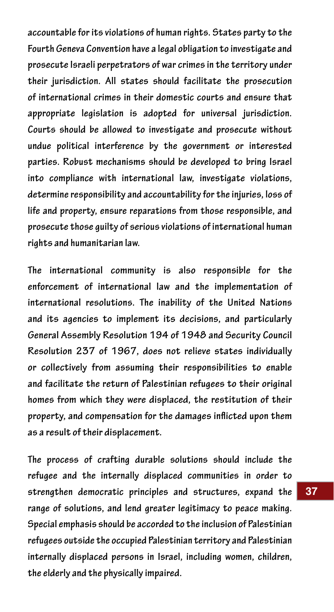**accountable for its violations of human rights. States party to the Fourth Geneva Convention have a legal obligation to investigate and prosecute Israeli perpetrators of war crimes in the territory under their jurisdiction. All states should facilitate the prosecution of international crimes in their domestic courts and ensure that appropriate legislation is adopted for universal jurisdiction. Courts should be allowed to investigate and prosecute without undue political interference by the government or interested parties. Robust mechanisms should be developed to bring Israel into compliance with international law, investigate violations, determine responsibility and accountability for the injuries, loss of life and property, ensure reparations from those responsible, and prosecute those guilty of serious violations of international human rights and humanitarian law.**

**The international community is also responsible for the enforcement of international law and the implementation of international resolutions. The inability of the United Nations and its agencies to implement its decisions, and particularly General Assembly Resolution 194 of 1948 and Security Council Resolution 237 of 1967, does not relieve states individually or collectively from assuming their responsibilities to enable and facilitate the return of Palestinian refugees to their original homes from which they were displaced, the restitution of their property, and compensation for the damages inflicted upon them as a result of their displacement.**

**The process of crafting durable solutions should include the refugee and the internally displaced communities in order to strengthen democratic principles and structures, expand the range of solutions, and lend greater legitimacy to peace making. Special emphasis should be accorded to the inclusion of Palestinian refugees outside the occupied Palestinian territory and Palestinian internally displaced persons in Israel, including women, children, the elderly and the physically impaired.**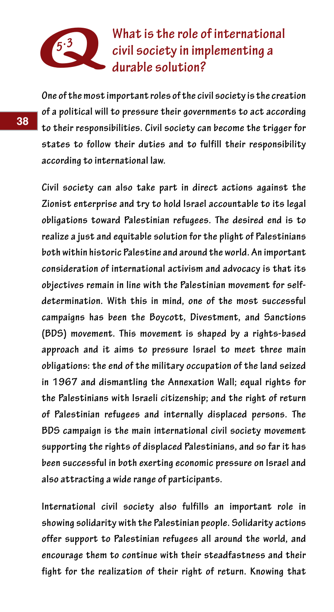

 **5.3 What is the role of international civil society in implementing a durable solution?**

**One of the most important roles of the civil society is the creation of a political will to pressure their governments to act according to their responsibilities. Civil society can become the trigger for states to follow their duties and to fulfill their responsibility according to international law.**

**Civil society can also take part in direct actions against the Zionist enterprise and try to hold Israel accountable to its legal obligations toward Palestinian refugees. The desired end is to realize a just and equitable solution for the plight of Palestinians both within historic Palestine and around the world. An important consideration of international activism and advocacy is that its objectives remain in line with the Palestinian movement for selfdetermination. With this in mind, one of the most successful campaigns has been the Boycott, Divestment, and Sanctions (BDS) movement. This movement is shaped by a rights-based approach and it aims to pressure Israel to meet three main obligations: the end of the military occupation of the land seized in 1967 and dismantling the Annexation Wall; equal rights for the Palestinians with Israeli citizenship; and the right of return of Palestinian refugees and internally displaced persons. The BDS campaign is the main international civil society movement supporting the rights of displaced Palestinians, and so far it has been successful in both exerting economic pressure on Israel and also attracting a wide range of participants.**

**International civil society also fulfills an important role in showing solidarity with the Palestinian people. Solidarity actions offer support to Palestinian refugees all around the world, and encourage them to continue with their steadfastness and their fight for the realization of their right of return. Knowing that**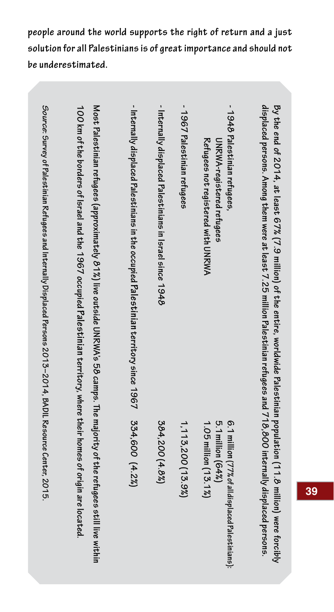**people around the world supports the right of return and a just solution for all Palestinians is of great importance and should not be underestimated.**

| Source: Survey of Palestinian Refugees and Internally Displaced Persons 2013–2014, BADIL Resource Center, 2015 | 100 km of the borders of Israel and the 1967 occupied Palestinian territory, where their homes of origin are located.<br>Most Palestinian refugees (approximately 8 1%) live outside UNRWA's 58 camps. The majority of the refugees still live within | - Internally displaced Palestinians in the occupied Palestinian territory since 1967 | - Internally displaced Palestinians in Israel since 1948 | - 1967 Palestinian refugees | - 1948 Palestinian refugees,<br>Refugees not registered with UNRWA<br>UNRWA-registered refugees | displaced persons. Among them were at least 7.25 million Palestinian refugees and 718,800 internally displaced persons.<br>By the end of 2014, at least 67% (7,9 million) of the entire, worldwide Palestinian population (11.8 million) were forcibly |
|----------------------------------------------------------------------------------------------------------------|-------------------------------------------------------------------------------------------------------------------------------------------------------------------------------------------------------------------------------------------------------|--------------------------------------------------------------------------------------|----------------------------------------------------------|-----------------------------|-------------------------------------------------------------------------------------------------|--------------------------------------------------------------------------------------------------------------------------------------------------------------------------------------------------------------------------------------------------------|
|                                                                                                                |                                                                                                                                                                                                                                                       | 334,600 (4.2%)                                                                       | 384,200 (4.8%)                                           | 1, 113, 200 (13.9%)         | 6.1 million (77% of all displaced Pales tinians):<br>5.1 million (64%)<br>1.05 million (13.1%)  |                                                                                                                                                                                                                                                        |